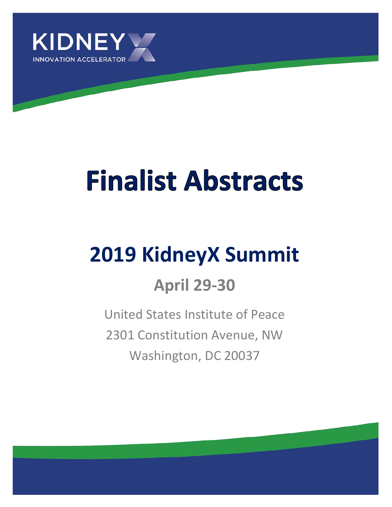

# **Finalist Abstracts**

## **2019 KidneyX Summit**

### **April 29-30**

United States Institute of Peace 2301 Constitution Avenue, NW Washington, DC 20037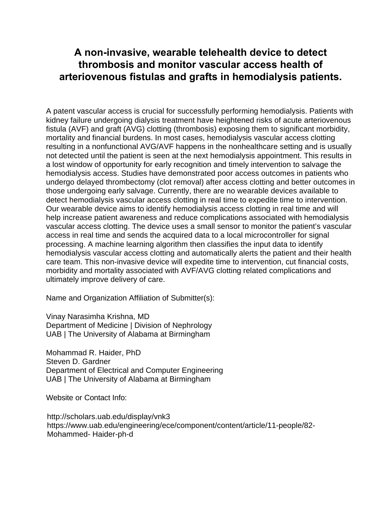#### **A non-invasive, wearable telehealth device to detect thrombosis and monitor vascular access health of arteriovenous fistulas and grafts in hemodialysis patients.**

A patent vascular access is crucial for successfully performing hemodialysis. Patients with kidney failure undergoing dialysis treatment have heightened risks of acute arteriovenous fistula (AVF) and graft (AVG) clotting (thrombosis) exposing them to significant morbidity, mortality and financial burdens. In most cases, hemodialysis vascular access clotting resulting in a nonfunctional AVG/AVF happens in the nonhealthcare setting and is usually not detected until the patient is seen at the next hemodialysis appointment. This results in a lost window of opportunity for early recognition and timely intervention to salvage the hemodialysis access. Studies have demonstrated poor access outcomes in patients who undergo delayed thrombectomy (clot removal) after access clotting and better outcomes in those undergoing early salvage. Currently, there are no wearable devices available to detect hemodialysis vascular access clotting in real time to expedite time to intervention. Our wearable device aims to identify hemodialysis access clotting in real time and will help increase patient awareness and reduce complications associated with hemodialysis vascular access clotting. The device uses a small sensor to monitor the patient's vascular access in real time and sends the acquired data to a local microcontroller for signal processing. A machine learning algorithm then classifies the input data to identify hemodialysis vascular access clotting and automatically alerts the patient and their health care team. This non-invasive device will expedite time to intervention, cut financial costs, morbidity and mortality associated with AVF/AVG clotting related complications and ultimately improve delivery of care.

Name and Organization Affiliation of Submitter(s):

Vinay Narasimha Krishna, MD Department of Medicine | Division of Nephrology UAB | The University of Alabama at Birmingham

Mohammad R. Haider, PhD Steven D. Gardner Department of Electrical and Computer Engineering UAB | The University of Alabama at Birmingham

Website or Contact Info:

http://scholars.uab.edu/display/vnk3 https://www.uab.edu/engineering/ece/component/content/article/11-people/82- Mohammed- Haider-ph-d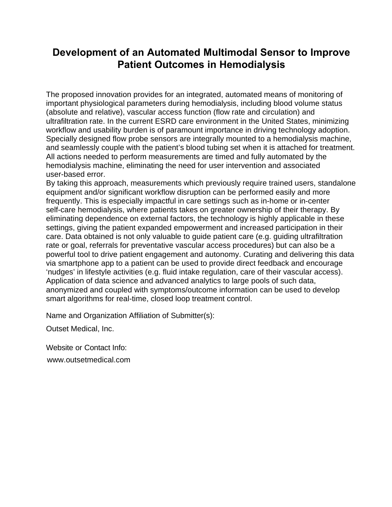#### **Development of an Automated Multimodal Sensor to Improve Patient Outcomes in Hemodialysis**

The proposed innovation provides for an integrated, automated means of monitoring of important physiological parameters during hemodialysis, including blood volume status (absolute and relative), vascular access function (flow rate and circulation) and ultrafiltration rate. In the current ESRD care environment in the United States, minimizing workflow and usability burden is of paramount importance in driving technology adoption. Specially designed flow probe sensors are integrally mounted to a hemodialysis machine, and seamlessly couple with the patient's blood tubing set when it is attached for treatment. All actions needed to perform measurements are timed and fully automated by the hemodialysis machine, eliminating the need for user intervention and associated user-based error.

By taking this approach, measurements which previously require trained users, standalone equipment and/or significant workflow disruption can be performed easily and more frequently. This is especially impactful in care settings such as in-home or in-center self-care hemodialysis, where patients takes on greater ownership of their therapy. By eliminating dependence on external factors, the technology is highly applicable in these settings, giving the patient expanded empowerment and increased participation in their care. Data obtained is not only valuable to guide patient care (e.g. guiding ultrafiltration rate or goal, referrals for preventative vascular access procedures) but can also be a powerful tool to drive patient engagement and autonomy. Curating and delivering this data via smartphone app to a patient can be used to provide direct feedback and encourage 'nudges' in lifestyle activities (e.g. fluid intake regulation, care of their vascular access). Application of data science and advanced analytics to large pools of such data, anonymized and coupled with symptoms/outcome information can be used to develop smart algorithms for real-time, closed loop treatment control.

Name and Organization Affiliation of Submitter(s):

Outset Medical, Inc.

Website or Contact Info:

www.outsetmedical.com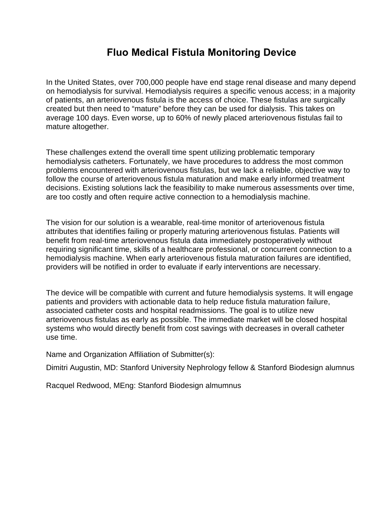#### **Fluo Medical Fistula Monitoring Device**

In the United States, over 700,000 people have end stage renal disease and many depend on hemodialysis for survival. Hemodialysis requires a specific venous access; in a majority of patients, an arteriovenous fistula is the access of choice. These fistulas are surgically created but then need to "mature" before they can be used for dialysis. This takes on average 100 days. Even worse, up to 60% of newly placed arteriovenous fistulas fail to mature altogether.

These challenges extend the overall time spent utilizing problematic temporary hemodialysis catheters. Fortunately, we have procedures to address the most common problems encountered with arteriovenous fistulas, but we lack a reliable, objective way to follow the course of arteriovenous fistula maturation and make early informed treatment decisions. Existing solutions lack the feasibility to make numerous assessments over time, are too costly and often require active connection to a hemodialysis machine.

The vision for our solution is a wearable, real-time monitor of arteriovenous fistula attributes that identifies failing or properly maturing arteriovenous fistulas. Patients will benefit from real-time arteriovenous fistula data immediately postoperatively without requiring significant time, skills of a healthcare professional, or concurrent connection to a hemodialysis machine. When early arteriovenous fistula maturation failures are identified, providers will be notified in order to evaluate if early interventions are necessary.

The device will be compatible with current and future hemodialysis systems. It will engage patients and providers with actionable data to help reduce fistula maturation failure, associated catheter costs and hospital readmissions. The goal is to utilize new arteriovenous fistulas as early as possible. The immediate market will be closed hospital systems who would directly benefit from cost savings with decreases in overall catheter use time.

Name and Organization Affiliation of Submitter(s):

Dimitri Augustin, MD: Stanford University Nephrology fellow & Stanford Biodesign alumnus

Racquel Redwood, MEng: Stanford Biodesign almumnus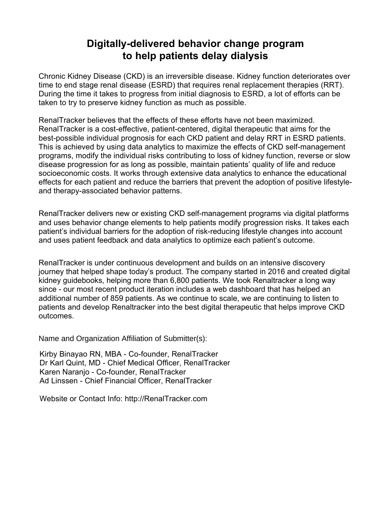#### **Digitally-delivered behavior change program to help patients delay dialysis**

Chronic Kidney Disease (CKD) is an irreversible disease. Kidney function deteriorates over time to end stage renal disease (ESRD) that requires renal replacement therapies (RRT). During the time it takes to progress from initial diagnosis to ESRD, a lot of efforts can be taken to try to preserve kidney function as much as possible.

RenalTracker believes that the effects of these efforts have not been maximized. RenalTracker is a cost-effective, patient-centered, digital therapeutic that aims for the best-possible individual prognosis for each CKD patient and delay RRT in ESRD patients. This is achieved by using data analytics to maximize the effects of CKD self-management programs, modify the individual risks contributing to loss of kidney function, reverse or slow disease progression for as long as possible, maintain patients' quality of life and reduce socioeconomic costs. It works through extensive data analytics to enhance the educational effects for each patient and reduce the barriers that prevent the adoption of positive lifestyleand therapy-associated behavior patterns.

RenalTracker delivers new or existing CKD self-management programs via digital platforms and uses behavior change elements to help patients modify progression risks. It takes each patient's individual barriers for the adoption of risk-reducing lifestyle changes into account and uses patient feedback and data analytics to optimize each patient's outcome.

RenalTracker is under continuous development and builds on an intensive discovery journey that helped shape today's product. The company started in 2016 and created digital kidney guidebooks, helping more than 6,800 patients. We took Renaltracker a long way since - our most recent product iteration includes a web dashboard that has helped an additional number of 859 patients. As we continue to scale, we are continuing to listen to patients and develop Renaltracker into the best digital therapeutic that helps improve CKD outcomes.

Name and Organization Affiliation of Submitter(s):

Kirby Binayao RN, MBA - Co-founder, RenalTracker Dr Karl Quint, MD - Chief Medical Officer, RenalTracker Karen Naranjo - Co-founder, RenalTracker Ad Linssen - Chief Financial Officer, RenalTracker

Website or Contact Info: http://RenalTracker.com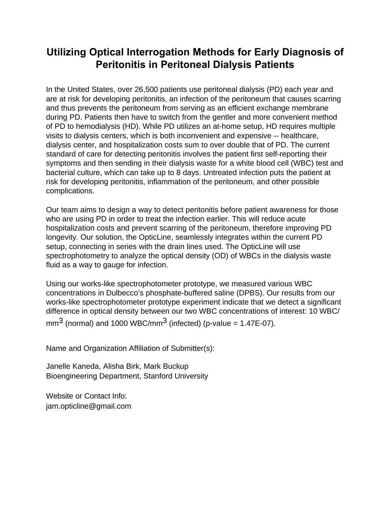#### **Utilizing Optical Interrogation Methods for Early Diagnosis of Peritonitis in Peritoneal Dialysis Patients**

In the United States, over 26,500 patients use peritoneal dialysis (PD) each year and are at risk for developing peritonitis, an infection of the peritoneum that causes scarring and thus prevents the peritoneum from serving as an efficient exchange membrane during PD. Patients then have to switch from the gentler and more convenient method of PD to hemodialysis (HD). While PD utilizes an at-home setup, HD requires multiple visits to dialysis centers, which is both inconvenient and expensive -- healthcare, dialysis center, and hospitalization costs sum to over double that of PD. The current standard of care for detecting peritonitis involves the patient first self-reporting their symptoms and then sending in their dialysis waste for a white blood cell (WBC) test and bacterial culture, which can take up to 8 days. Untreated infection puts the patient at risk for developing peritonitis, inflammation of the peritoneum, and other possible complications.

Our team aims to design a way to detect peritonitis before patient awareness for those who are using PD in order to treat the infection earlier. This will reduce acute hospitalization costs and prevent scarring of the peritoneum, therefore improving PD longevity*.* Our solution, the OpticLine, seamlessly integrates within the current PD setup, connecting in series with the drain lines used. The OpticLine will use spectrophotometry to analyze the optical density (OD) of WBCs in the dialysis waste fluid as a way to gauge for infection.

Using our works-like spectrophotometer prototype, we measured various WBC concentrations in Dulbecco's phosphate-buffered saline (DPBS). Our results from our works-like spectrophotometer prototype experiment indicate that we detect a significant difference in optical density between our two WBC concentrations of interest: 10 WBC/  $mm<sup>3</sup>$  (normal) and 10[00 WBC/mm](mailto:jam.opticline@gmail.com)<sup>3</sup> [\(infected\) \(p-value =](mailto:jam.opticline@gmail.com) 1.47E-07).

[Name and Organization](mailto:jam.opticline@gmail.com) Affiliation of Submitter(s):

Janelle Kaneda, Alisha Birk, Mark Buckup Bioengineering Department, Stanford University

Website or Contact Info: jam.opticline@gmail.com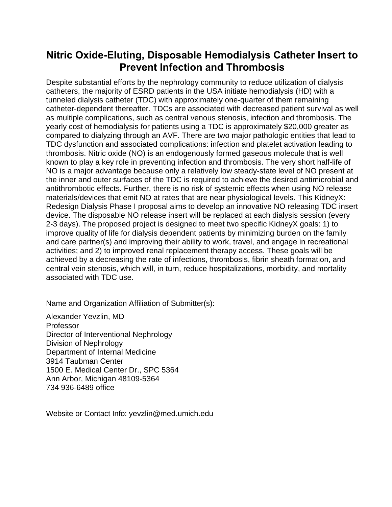#### **Nitric Oxide-Eluting, Disposable Hemodialysis Catheter Insert to Prevent Infection and Thrombosis**

Despite substantial efforts by the nephrology community to reduce utilization of dialysis catheters, the majority of ESRD patients in the USA initiate hemodialysis (HD) with a tunneled dialysis catheter (TDC) with approximately one-quarter of them remaining catheter-dependent thereafter. TDCs are associated with decreased patient survival as well as multiple complications, such as central venous stenosis, infection and thrombosis. The yearly cost of hemodialysis for patients using a TDC is approximately \$20,000 greater as compared to dialyzing through an AVF. There are two major pathologic entities that lead to TDC dysfunction and associated complications: infection and platelet activation leading to thrombosis. Nitric oxide (NO) is an endogenously formed gaseous molecule that is well known to play a key role in preventing infection and thrombosis. The very short half-life of NO is a major advantage because only a relatively low steady-state level of NO present at the inner and outer surfaces of the TDC is required to achieve the desired antimicrobial and antithrombotic effects. Further, there is no risk of systemic effects when using NO release materials/devices that emit NO at rates that are near physiological levels. This KidneyX: Redesign Dialysis Phase I proposal aims to develop an innovative NO releasing TDC insert device. The disposable NO release insert will be replaced at each dialysis session (every 2-3 days). The proposed project is designed to meet two specific KidneyX goals: 1) to improve quality of life for dialysis dependent patients by minimizing burden on the family and care partner(s) and improving their ability to work, travel, and engage in recreational activities; and 2) to improved renal replacement therapy access. These goals will be achieved by a decreasing the rate of infections, thrombosis, fibrin sheath formation, and central vein stenosis, which will, in turn, reduce hospitalizations, morbidity, and mortality associated with TDC use.

Name and Organization Affiliation of Submitter(s):

Alexander Yevzlin, MD Professor Director of Interventional Nephrology Division of Nephrology Department of Internal Medicine 3914 Taubman Center 1500 E. Medical Center Dr., SPC 5364 Ann Arbor, Michigan 48109-5364 734 936-6489 office

Website or Contact Info: yevzlin@med.umich.edu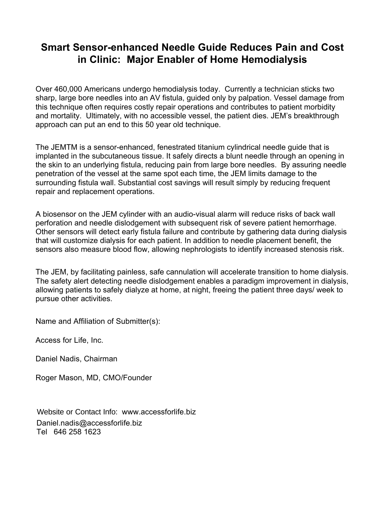#### **Smart Sensor-enhanced Needle Guide Reduces Pain and Cost in Clinic: Major Enabler of Home Hemodialysis**

Over 460,000 Americans undergo hemodialysis today. Currently a technician sticks two sharp, large bore needles into an AV fistula, guided only by palpation. Vessel damage from this technique often requires costly repair operations and contributes to patient morbidity and mortality. Ultimately, with no accessible vessel, the patient dies. JEM's breakthrough approach can put an end to this 50 year old technique.

The JEMTM is a sensor-enhanced, fenestrated titanium cylindrical needle guide that is implanted in the subcutaneous tissue. It safely directs a blunt needle through an opening in the skin to an underlying fistula, reducing pain from large bore needles. By assuring needle penetration of the vessel at the same spot each time, the JEM limits damage to the surrounding fistula wall. Substantial cost savings will result simply by reducing frequent repair and replacement operations.

A biosensor on the JEM cylinder with an audio-visual alarm will reduce risks of back wall perforation and needle dislodgement with subsequent risk of severe patient hemorrhage. Other sensors will detect early fistula failure and contribute by gathering data during dialysis that will customize dialysis for each patient. In addition to needle placement benefit, the sensors also measure blood flow, allowing nephrologists to identify increased stenosis risk.

The JEM, by facilitating painless, safe cannulation will accelerate transition to home dialysis. The safety alert detecting needle dislodgement enables a paradigm improvement in dialysis, allowing patients to safely dialyze at home, at night, freeing the patient three days/ week to pursue other activities.

Name and Affiliation of Submitter(s):

Access for Life, Inc.

Daniel Nadis, Chairman

Roger Mason, MD, CMO/Founder

Website or Contact Info: www.accessforlife.biz Daniel.nadis@accessforlife.biz Tel 646 258 1623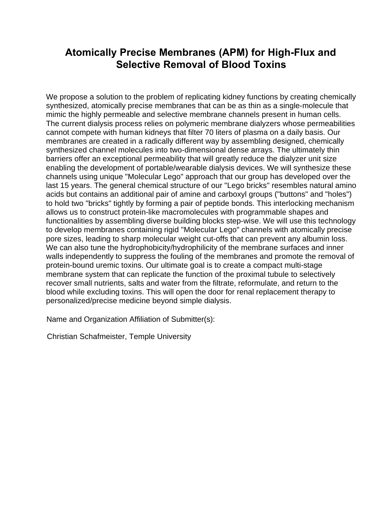#### **Atomically Precise Membranes (APM) for High-Flux and Selective Removal of Blood Toxins**

We propose a solution to the problem of replicating kidney functions by creating chemically synthesized, atomically precise membranes that can be as thin as a single-molecule that mimic the highly permeable and selective membrane channels present in human cells. The current dialysis process relies on polymeric membrane dialyzers whose permeabilities cannot compete with human kidneys that filter 70 liters of plasma on a daily basis. Our membranes are created in a radically different way by assembling designed, chemically synthesized channel molecules into two-dimensional dense arrays. The ultimately thin barriers offer an exceptional permeability that will greatly reduce the dialyzer unit size enabling the development of portable/wearable dialysis devices. We will synthesize these channels using unique "Molecular Lego" approach that our group has developed over the last 15 years. The general chemical structure of our "Lego bricks" resembles natural amino acids but contains an additional pair of amine and carboxyl groups ("buttons" and "holes") to hold two "bricks" tightly by forming a pair of peptide bonds. This interlocking mechanism allows us to construct protein-like macromolecules with programmable shapes and functionalities by assembling diverse building blocks step-wise. We will use this technology to develop membranes containing rigid "Molecular Lego" channels with atomically precise pore sizes, leading to sharp molecular weight cut-offs that can prevent any albumin loss. We can also tune the hydrophobicity/hydrophilicity of the membrane surfaces and inner walls independently to suppress the fouling of the membranes and promote the removal of protein-bound uremic toxins. Our ultimate goal is to create a compact multi-stage membrane system that can replicate the function of the proximal tubule to selectively recover small nutrients, salts and water from the filtrate, reformulate, and return to the blood while excluding toxins. This will open the door for renal replacement therapy to personalized/precise medicine beyond simple dialysis.

Name and Organization Affiliation of Submitter(s):

Christian Schafmeister, Temple University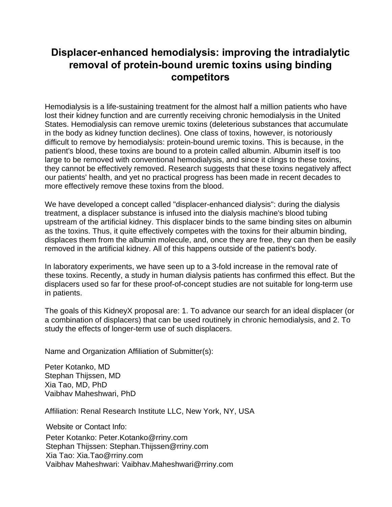#### **Displacer-enhanced hemodialysis: improving the intradialytic removal of protein-bound uremic toxins using binding competitors**

Hemodialysis is a life-sustaining treatment for the almost half a million patients who have lost their kidney function and are currently receiving chronic hemodialysis in the United States. Hemodialysis can remove uremic toxins (deleterious substances that accumulate in the body as kidney function declines). One class of toxins, however, is notoriously difficult to remove by hemodialysis: protein-bound uremic toxins. This is because, in the patient's blood, these toxins are bound to a protein called albumin. Albumin itself is too large to be removed with conventional hemodialysis, and since it clings to these toxins, they cannot be effectively removed. Research suggests that these toxins negatively affect our patients' health, and yet no practical progress has been made in recent decades to more effectively remove these toxins from the blood.

We have developed a concept called "displacer-enhanced dialysis": during the dialysis treatment, a displacer substance is infused into the dialysis machine's blood tubing upstream of the artificial kidney. This displacer binds to the same binding sites on albumin as the toxins. Thus, it quite effectively competes with the toxins for their albumin binding, displaces them from the albumin molecule, and, once they are free, they can then be easily removed in the artificial kidney. All of this happens outside of the patient's body.

In laboratory experiments, we have seen up to a 3-fold increase in the removal rate of these toxins. Recently, a study in human dialysis patients has confirmed this effect. But the displacers used so far for these proof-of-concept studies are not suitable for long-term use in patients.

The goals of this KidneyX proposal are: 1. To advance our search for an ideal displacer (or a combination of displacers) that can be used routinely in chronic hemodialysis, and 2. To study the effects of longer-term use of such displacers.

Name and Organization Affiliation of Submitter(s):

Peter Kotanko, MD Stephan Thijssen, MD Xia Tao, MD, PhD Vaibhav Maheshwari, PhD

Affiliation: Renal Research Institute LLC, New York, NY, USA

Website or Contact Info:

Peter Kotanko: Peter.Kotanko@rriny.com Stephan Thijssen: Stephan.Thijssen@rriny.com Xia Tao: Xia.Tao@rriny.com Vaibhav Mahe[shwari: Vaibhav.Maheshwa](mailto:Peter.Kotanko@rriny.com)ri@rriny.com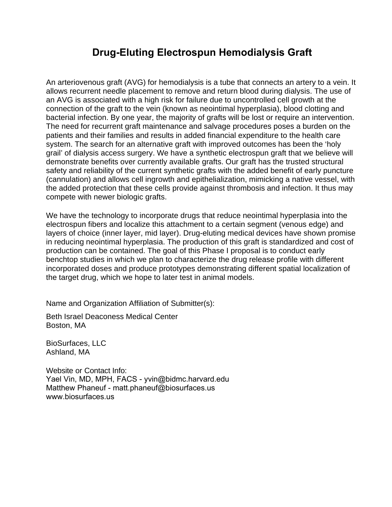#### **Drug-Eluting Electrospun Hemodialysis Graft**

An arteriovenous graft (AVG) for hemodialysis is a tube that connects an artery to a vein. It allows recurrent needle placement to remove and return blood during dialysis. The use of an AVG is associated with a high risk for failure due to uncontrolled cell growth at the connection of the graft to the vein (known as neointimal hyperplasia), blood clotting and bacterial infection. By one year, the majority of grafts will be lost or require an intervention. The need for recurrent graft maintenance and salvage procedures poses a burden on the patients and their families and results in added financial expenditure to the health care system. The search for an alternative graft with improved outcomes has been the 'holy grail' of dialysis access surgery. We have a synthetic electrospun graft that we believe will demonstrate benefits over currently available grafts. Our graft has the trusted structural safety and reliability of the current synthetic grafts with the added benefit of early puncture (cannulation) and allows cell ingrowth and epithelialization, mimicking a native vessel, with the added protection that these cells provide against thrombosis and infection. It thus may compete with newer biologic grafts.

We have the technology to incorporate drugs that reduce neointimal hyperplasia into the electrospun fibers and localize this attachment to a certain segment (venous edge) and layers of choice (inner layer, mid layer). Drug-eluting medical devices have shown promise in reducing neointimal hyperplasia. The production of this graft is standardized and cost of production can be contained. The goal of this Phase I proposal is to conduct early benchtop studies in which we plan to characterize the drug release profile with different incorporated doses and produce prototypes demonstrating different spatial localization of the target drug, which we hope to later test in animal models.

Name and Organization Affiliation of Submitter(s):

Beth Israel Deaconess Medical Center Boston, MA

BioSurfaces, LLC Ashland, MA

Website or Contact Info: Yael Vin, MD, MPH, FACS - yvin@bidmc.harvard.edu Matthew Phaneuf - matt.phaneuf@biosurfaces.us www.biosurfaces.us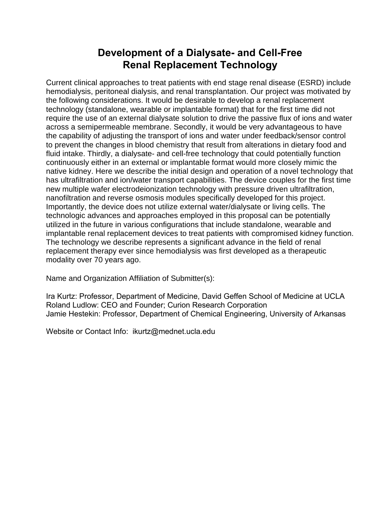#### **Development of a Dialysate- and Cell-Free Renal Replacement Technology**

Current clinical approaches to treat patients with end stage renal disease (ESRD) include hemodialysis, peritoneal dialysis, and renal transplantation. Our project was motivated by the following considerations. It would be desirable to develop a renal replacement technology (standalone, wearable or implantable format) that for the first time did not require the use of an external dialysate solution to drive the passive flux of ions and water across a semipermeable membrane. Secondly, it would be very advantageous to have the capability of adjusting the transport of ions and water under feedback/sensor control to prevent the changes in blood chemistry that result from alterations in dietary food and fluid intake. Thirdly, a dialysate- and cell-free technology that could potentially function continuously either in an external or implantable format would more closely mimic the native kidney. Here we describe the initial design and operation of a novel technology that has ultrafiltration and ion/water transport capabilities. The device couples for the first time new multiple wafer electrodeionization technology with pressure driven ultrafiltration, nanofiltration and reverse osmosis modules specifically developed for this project. Importantly, the device does not utilize external water/dialysate or living cells. The technologic advances and approaches employed in this proposal can be potentially utilized in the future in various configurations that include standalone, wearable and implantable renal replacement devices to treat patients with compromised kidney function. The technology we describe represents a significant advance in the field of renal replacement therapy ever since hemodialysis was first developed as a therapeutic modality over 70 years ago.

Name and Organization Affiliation of Submitter(s):

Ira Kurtz: Professor, Department of Medicine, David Geffen School of Medicine at UCLA Roland Ludlow: CEO and Founder; Curion Research Corporation Jamie Hestekin: Professor, Department of Chemical Engineering, University of Arkansas

Website or Contact Info: ikurtz@mednet.ucla.edu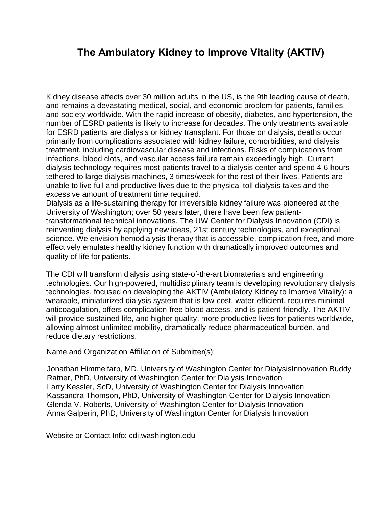#### **The Ambulatory Kidney to Improve Vitality (AKTIV)**

Kidney disease affects over 30 million adults in the US, is the 9th leading cause of death, and remains a devastating medical, social, and economic problem for patients, families, and society worldwide. With the rapid increase of obesity, diabetes, and hypertension, the number of ESRD patients is likely to increase for decades. The only treatments available for ESRD patients are dialysis or kidney transplant. For those on dialysis, deaths occur primarily from complications associated with kidney failure, comorbidities, and dialysis treatment, including cardiovascular disease and infections. Risks of complications from infections, blood clots, and vascular access failure remain exceedingly high. Current dialysis technology requires most patients travel to a dialysis center and spend 4-6 hours tethered to large dialysis machines, 3 times/week for the rest of their lives. Patients are unable to live full and productive lives due to the physical toll dialysis takes and the excessive amount of treatment time required.

Dialysis as a life-sustaining therapy for irreversible kidney failure was pioneered at the University of Washington; over 50 years later, there have been few patienttransformational technical innovations. The UW Center for Dialysis Innovation (CDI) is reinventing dialysis by applying new ideas, 21st century technologies, and exceptional science. We envision hemodialysis therapy that is accessible, complication-free, and more effectively emulates healthy kidney function with dramatically improved outcomes and quality of life for patients.

The CDI will transform dialysis using state-of-the-art biomaterials and engineering technologies. Our high-powered, multidisciplinary team is developing revolutionary dialysis technologies, focused on developing the AKTIV (Ambulatory Kidney to Improve Vitality): a wearable, miniaturized dialysis system that is low-cost, water-efficient, requires minimal anticoagulation, offers complication-free blood access, and is patient-friendly. The AKTIV will provide sustained life, and higher quality, more productive lives for patients worldwide, allowing almost unlimited mobility, dramatically reduce pharmaceutical burden, and reduce dietary restrictions.

Name and Organization Affiliation of Submitter(s):

Jonathan Himmelfarb, MD, University of Washington Center for DialysisInnovation Buddy Ratner, PhD, University of Washington Center for Dialysis Innovation Larry Kessler, ScD, University of Washington Center for Dialysis Innovation Kassandra Thomson, PhD, University of Washington Center for Dialysis Innovation Glenda V. Roberts, University of Washington Center for Dialysis Innovation Anna Galperin, PhD, University of Washington Center for Dialysis Innovation

Website or Contact Info: cdi.washington.edu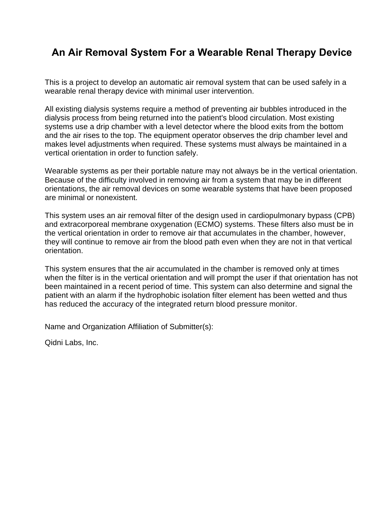#### **An Air Removal System For a Wearable Renal Therapy Device**

This is a project to develop an automatic air removal system that can be used safely in a wearable renal therapy device with minimal user intervention.

All existing dialysis systems require a method of preventing air bubbles introduced in the dialysis process from being returned into the patient's blood circulation. Most existing systems use a drip chamber with a level detector where the blood exits from the bottom and the air rises to the top. The equipment operator observes the drip chamber level and makes level adjustments when required. These systems must always be maintained in a vertical orientation in order to function safely.

Wearable systems as per their portable nature may not always be in the vertical orientation. Because of the difficulty involved in removing air from a system that may be in different orientations, the air removal devices on some wearable systems that have been proposed are minimal or nonexistent.

This system uses an air removal filter of the design used in cardiopulmonary bypass (CPB) and extracorporeal membrane oxygenation (ECMO) systems. These filters also must be in the vertical orientation in order to remove air that accumulates in the chamber, however, they will continue to remove air from the blood path even when they are not in that vertical orientation.

This system ensures that the air accumulated in the chamber is removed only at times when the filter is in the vertical orientation and will prompt the user if that orientation has not been maintained in a recent period of time. This system can also determine and signal the patient with an alarm if the hydrophobic isolation filter element has been wetted and thus has reduced the accuracy of the integrated return blood pressure monitor.

Name and Organization Affiliation of Submitter(s):

Qidni Labs, Inc.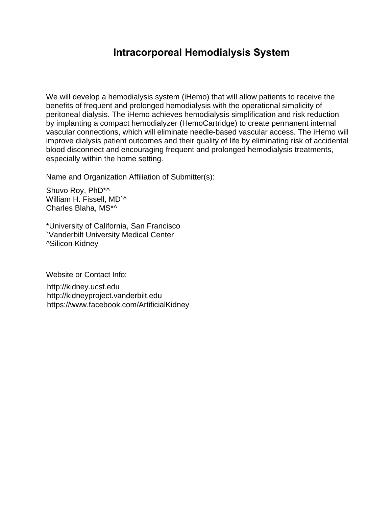#### **Intracorporeal Hemodialysis System**

We will develop a hemodialysis system (iHemo) that will allow patients to receive the benefits of frequent and prolonged hemodialysis with the operational simplicity of peritoneal dialysis. The iHemo achieves hemodialysis simplification and risk reduction by implanting a compact hemodialyzer (HemoCartridge) to create permanent internal vascular connections, which will eliminate needle-based vascular access. The iHemo will improve dialysis patient outcomes and their quality of life by eliminating risk of accidental blood disconnect and encouraging frequent and prolonged hemodialysis treatments, especially within the home setting.

Name and Organization Affiliation of Submitter(s):

Shuvo Roy, PhD\*^ William H. Fissell, MD`^ Charles Blaha, MS\*^

\*University of California, San Francisco `Vanderbilt University Medical Center ^Silicon Kidney

Website or Contact Info:

http://kidney.ucsf.edu http://kidneyproject.vanderbilt.edu https://www.facebook.com/ArtificialKidney